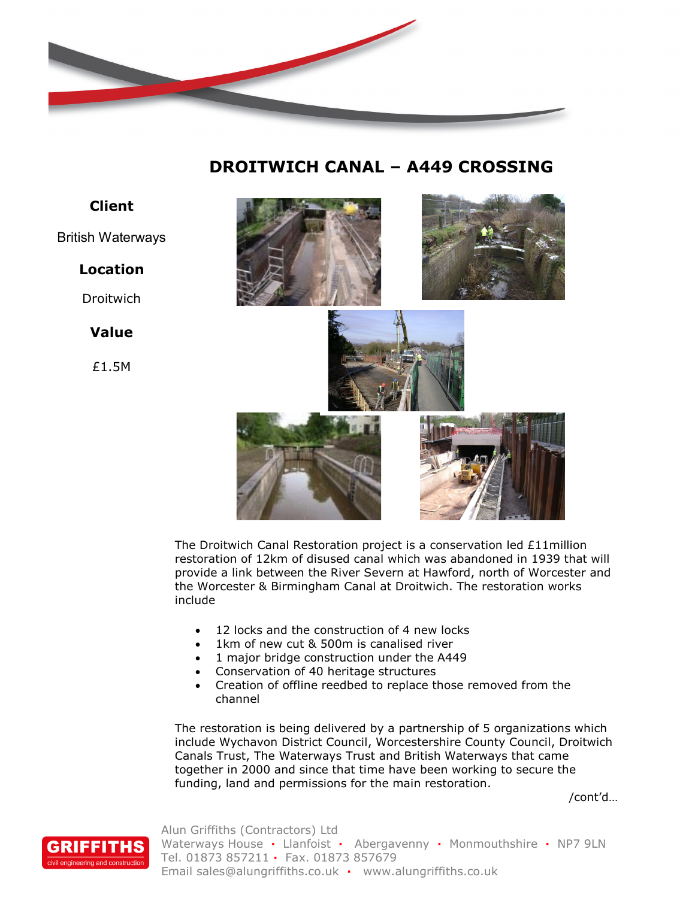

# **DROITWICH CANAL – A449 CROSSING**

# **Client**

#### British Waterways

## **Location**

**Droitwich** 

## **Value**

£1.5M



The Droitwich Canal Restoration project is a conservation led £11million restoration of 12km of disused canal which was abandoned in 1939 that will provide a link between the River Severn at Hawford, north of Worcester and the Worcester & Birmingham Canal at Droitwich. The restoration works include

- 12 locks and the construction of 4 new locks
- 1km of new cut & 500m is canalised river
- 1 major bridge construction under the A449
- Conservation of 40 heritage structures
- Creation of offline reedbed to replace those removed from the channel

The restoration is being delivered by a partnership of 5 organizations which include Wychavon District Council, Worcestershire County Council, Droitwich Canals Trust, The Waterways Trust and British Waterways that came together in 2000 and since that time have been working to secure the funding, land and permissions for the main restoration.

/cont'd…